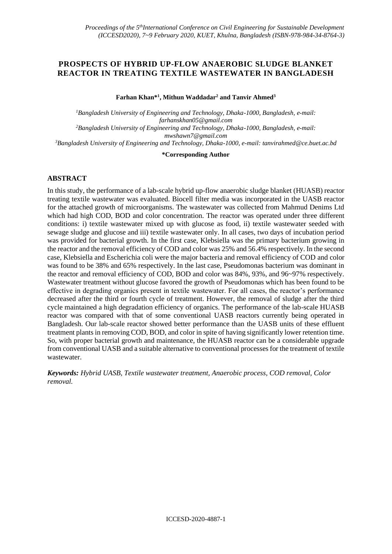# **PROSPECTS OF HYBRID UP-FLOW ANAEROBIC SLUDGE BLANKET REACTOR IN TREATING TEXTILE WASTEWATER IN BANGLADESH**

**Farhan Khan\*<sup>1</sup> , Mithun Waddadar<sup>2</sup> and Tanvir Ahmed<sup>3</sup>**

*<sup>1</sup>Bangladesh University of Engineering and Technology, Dhaka-1000, Bangladesh, e-mail: [farhanskhan05@gmail.com](file:///I:/Paper/KUET%20ICCSED/farhanskhan05@gmail.com) <sup>2</sup>Bangladesh University of Engineering and Technology, Dhaka-1000, Bangladesh, e-mail: [mwshawn7@gmail.com](file:///I:/Paper/KUET%20ICCSED/mwshawn7@gmail.com) <sup>3</sup>Bangladesh University of Engineering and Technology, Dhaka-1000, e-mail: [tanvirahmed@ce.buet.ac.bd](file:///I:/Paper/KUET%20ICCSED/tanvirahmed@ce.buet.ac.bd)*

**\*Corresponding Author**

## **ABSTRACT**

In this study, the performance of a lab-scale hybrid up-flow anaerobic sludge blanket (HUASB) reactor treating textile wastewater was evaluated. Biocell filter media was incorporated in the UASB reactor for the attached growth of microorganisms. The wastewater was collected from Mahmud Denims Ltd which had high COD, BOD and color concentration. The reactor was operated under three different conditions: i) textile wastewater mixed up with glucose as food, ii) textile wastewater seeded with sewage sludge and glucose and iii) textile wastewater only. In all cases, two days of incubation period was provided for bacterial growth. In the first case, Klebsiella was the primary bacterium growing in the reactor and the removal efficiency of COD and color was 25% and 56.4% respectively. In the second case, Klebsiella and Escherichia coli were the major bacteria and removal efficiency of COD and color was found to be 38% and 65% respectively. In the last case, Pseudomonas bacterium was dominant in the reactor and removal efficiency of COD, BOD and color was 84%, 93%, and 96~97% respectively. Wastewater treatment without glucose favored the growth of Pseudomonas which has been found to be effective in degrading organics present in textile wastewater. For all cases, the reactor's performance decreased after the third or fourth cycle of treatment. However, the removal of sludge after the third cycle maintained a high degradation efficiency of organics. The performance of the lab-scale HUASB reactor was compared with that of some conventional UASB reactors currently being operated in Bangladesh. Our lab-scale reactor showed better performance than the UASB units of these effluent treatment plants in removing COD, BOD, and color in spite of having significantly lower retention time. So, with proper bacterial growth and maintenance, the HUASB reactor can be a considerable upgrade from conventional UASB and a suitable alternative to conventional processes for the treatment of textile wastewater.

*Keywords: Hybrid UASB, Textile wastewater treatment, Anaerobic process, COD removal, Color removal.*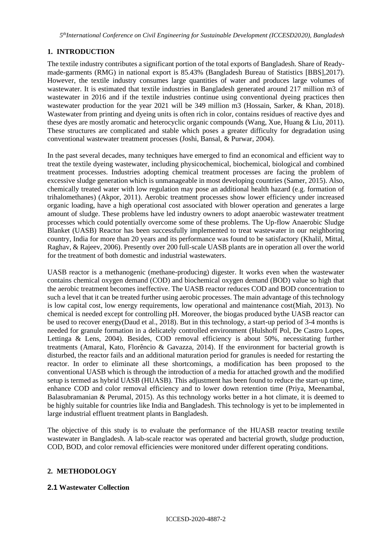# **1. INTRODUCTION**

The textile industry contributes a significant portion of the total exports of Bangladesh. Share of Readymade-garments (RMG) in national export is 85.43% (Bangladesh Bureau of Statistics [BBS],2017). However, the textile industry consumes large quantities of water and produces large volumes of wastewater. It is estimated that textile industries in Bangladesh generated around 217 million m3 of wastewater in 2016 and if the textile industries continue using conventional dyeing practices then wastewater production for the year 2021 will be 349 million m3 (Hossain, Sarker, & Khan, 2018). Wastewater from printing and dyeing units is often rich in color, contains residues of reactive dyes and these dyes are mostly aromatic and heterocyclic organic compounds (Wang, Xue, Huang & Liu, 2011). These structures are complicated and stable which poses a greater difficulty for degradation using conventional wastewater treatment processes (Joshi, Bansal, & Purwar, 2004).

In the past several decades, many techniques have emerged to find an economical and efficient way to treat the textile dyeing wastewater, including physicochemical, biochemical, biological and combined treatment processes. Industries adopting chemical treatment processes are facing the problem of excessive sludge generation which is unmanageable in most developing countries (Samer, 2015). Also, chemically treated water with low regulation may pose an additional health hazard (e.g. formation of trihalomethanes) (Akpor, 2011). Aerobic treatment processes show lower efficiency under increased organic loading, have a high operational cost associated with blower operation and generates a large amount of sludge. These problems have led industry owners to adopt anaerobic wastewater treatment processes which could potentially overcome some of these problems. The Up-flow Anaerobic Sludge Blanket (UASB) Reactor has been successfully implemented to treat wastewater in our neighboring country, India for more than 20 years and its performance was found to be satisfactory (Khalil, Mittal, Raghav, & Rajeev, 2006). Presently over 200 full-scale UASB plants are in operation all over the world for the treatment of both domestic and industrial wastewaters.

UASB reactor is a methanogenic (methane-producing) digester. It works even when the wastewater contains chemical oxygen demand (COD) and biochemical oxygen demand (BOD) value so high that the aerobic treatment becomes ineffective. The UASB reactor reduces COD and BOD concentration to such a level that it can be treated further using aerobic processes. The main advantage of this technology is low capital cost, low energy requirements, low operational and maintenance cost(Miah, 2013). No chemical is needed except for controlling pH. Moreover, the biogas produced bythe UASB reactor can be used to recover energy(Daud et al., 2018). But in this technology, a start-up period of 3-4 months is needed for granule formation in a delicately controlled environment (Hulshoff Pol, De Castro Lopes, Lettinga & Lens, 2004). Besides, COD removal efficiency is about 50%, necessitating further treatments (Amaral, Kato, Florêncio & Gavazza, 2014). If the environment for bacterial growth is disturbed, the reactor fails and an additional maturation period for granules is needed for restarting the reactor. In order to eliminate all these shortcomings, a modification has been proposed to the conventional UASB which is through the introduction of a media for attached growth and the modified setup is termed as hybrid UASB (HUASB). This adjustment has been found to reduce the start-up time, enhance COD and color removal efficiency and to lower down retention time (Priya, Meenambal, Balasubramanian & Perumal, 2015). As this technology works better in a hot climate, it is deemed to be highly suitable for countries like India and Bangladesh. This technology is yet to be implemented in large industrial effluent treatment plants in Bangladesh.

The objective of this study is to evaluate the performance of the HUASB reactor treating textile wastewater in Bangladesh. A lab-scale reactor was operated and bacterial growth, sludge production, COD, BOD, and color removal efficiencies were monitored under different operating conditions.

## **2. METHODOLOGY**

#### **2.1 Wastewater Collection**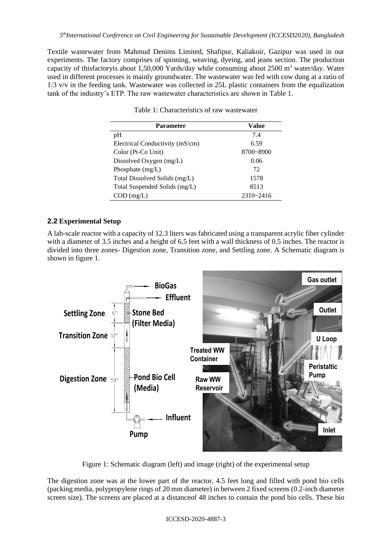Textile wastewater from Mahmud Denims Limited, Shafipur, Kaliakoir, Gazipur was used in our experiments. The factory comprises of spinning, weaving, dyeing, and jeans section. The production capacity of thisfactoryis about 1,50,000 Yards/day while consuming about 2500 m<sup>3</sup> water/day. Water used in different processes is mainly groundwater. The wastewater was fed with cow dung at a ratio of 1:3 v/v in the feeding tank. Wastewater was collected in 25L plastic containers from the equalization tank of the industry's ETP. The raw wastewater characteristics are shown in Table 1.

| Parameter                       | Value         |  |
|---------------------------------|---------------|--|
| pH                              | 7.4           |  |
| Electrical Conductivity (mS/cm) | 6.59          |  |
| Color (Pt-Co Unit)              | 8700~8900     |  |
| Dissolved Oxygen (mg/L)         | 0.06          |  |
| Phosphate $(mg/L)$              | 72            |  |
| Total Dissolved Solids (mg/L)   | 1578          |  |
| Total Suspended Solids (mg/L)   | 8513          |  |
| $COD$ (mg/L)                    | $2310 - 2416$ |  |

Table 1: Characteristics of raw wastewater

### **2.2 Experimental Setup**

A lab-scale reactor with a capacity of 12.3 liters was fabricated using a transparent acrylic fiber cylinder with a diameter of 3.5 inches and a height of 6.5 feet with a wall thickness of 0.5 inches. The reactor is divided into three zones- Digestion zone, Transition zone, and Settling zone. A Schematic diagram is shown in figure 1.



Figure 1: Schematic diagram (left) and image (right) of the experimental setup

The digestion zone was at the lower part of the reactor, 4.5 feet long and filled with pond bio cells (packing media, polypropylene rings of 20 mm diameter) in between 2 fixed screens (0.2-inch diameter screen size). The screens are placed at a distanceof 48 inches to contain the pond bio cells. These bio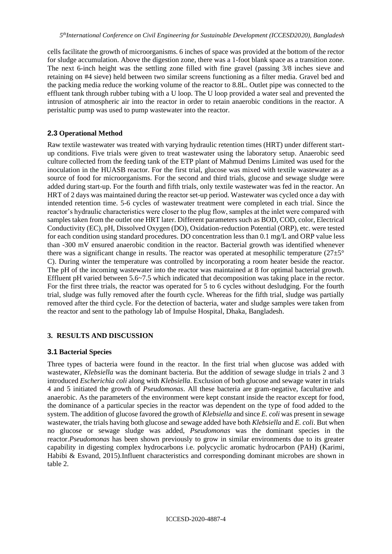cells facilitate the growth of microorganisms. 6 inches of space was provided at the bottom of the rector for sludge accumulation. Above the digestion zone, there was a 1-foot blank space as a transition zone. The next 6-inch height was the settling zone filled with fine gravel (passing 3/8 inches sieve and retaining on #4 sieve) held between two similar screens functioning as a filter media. Gravel bed and the packing media reduce the working volume of the reactor to 8.8L. Outlet pipe was connected to the effluent tank through rubber tubing with a U loop. The U loop provided a water seal and prevented the intrusion of atmospheric air into the reactor in order to retain anaerobic conditions in the reactor. A peristaltic pump was used to pump wastewater into the reactor.

### **2.3 Operational Method**

Raw textile wastewater was treated with varying hydraulic retention times (HRT) under different startup conditions. Five trials were given to treat wastewater using the laboratory setup. Anaerobic seed culture collected from the feeding tank of the ETP plant of Mahmud Denims Limited was used for the inoculation in the HUASB reactor. For the first trial, glucose was mixed with textile wastewater as a source of food for microorganisms. For the second and third trials, glucose and sewage sludge were added during start-up. For the fourth and fifth trials, only textile wastewater was fed in the reactor. An HRT of 2 days was maintained during the reactor set-up period. Wastewater was cycled once a day with intended retention time. 5-6 cycles of wastewater treatment were completed in each trial. Since the reactor's hydraulic characteristics were closer to the plug flow, samples at the inlet were compared with samples taken from the outlet one HRT later. Different parameters such as BOD, COD, color, Electrical Conductivity (EC), pH, Dissolved Oxygen (DO), Oxidation-reduction Potential (ORP), etc. were tested for each condition using standard procedures. DO concentration less than 0.1 mg/L and ORP value less than -300 mV ensured anaerobic condition in the reactor. Bacterial growth was identified whenever there was a significant change in results. The reactor was operated at mesophilic temperature ( $27\pm5^{\circ}$ ) C). During winter the temperature was controlled by incorporating a room heater beside the reactor. The pH of the incoming wastewater into the reactor was maintained at 8 for optimal bacterial growth. Effluent pH varied between 5.6~7.5 which indicated that decomposition was taking place in the rector. For the first three trials, the reactor was operated for 5 to 6 cycles without desludging. For the fourth trial, sludge was fully removed after the fourth cycle. Whereas for the fifth trial, sludge was partially removed after the third cycle. For the detection of bacteria, water and sludge samples were taken from the reactor and sent to the pathology lab of Impulse Hospital, Dhaka, Bangladesh.

#### **3. RESULTS AND DISCUSSION**

#### **3.1 Bacterial Species**

Three types of bacteria were found in the reactor. In the first trial when glucose was added with wastewater, *Klebsiella* was the dominant bacteria. But the addition of sewage sludge in trials 2 and 3 introduced *Escherichia coli* along with *Klebsiella*. Exclusion of both glucose and sewage water in trials 4 and 5 initiated the growth of *Pseudomonas*. All these bacteria are gram-negative, facultative and anaerobic. As the parameters of the environment were kept constant inside the reactor except for food, the dominance of a particular species in the reactor was dependent on the type of food added to the system. The addition of glucose favored the growth of *Klebsiella* and since *E. coli* was present in sewage wastewater, the trials having both glucose and sewage added have both *Klebsiella* and *E. coli*. But when no glucose or sewage sludge was added, *Pseudomonas* was the dominant species in the reactor.*Pseudomonas* has been shown previously to grow in similar environments due to its greater capability in digesting complex hydrocarbons i.e. polycyclic aromatic hydrocarbon (PAH) (Karimi, Habibi & Esvand, 2015).Influent characteristics and corresponding dominant microbes are shown in table 2.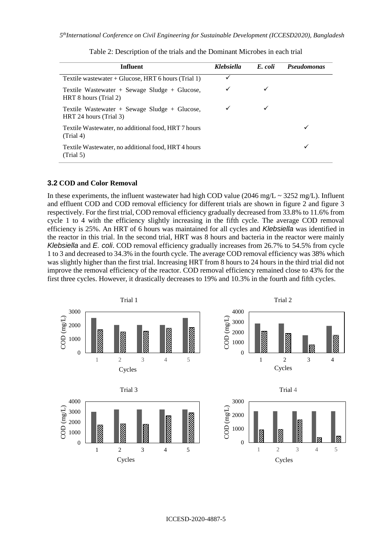| Influent                                                                | <b>Klebsiella</b> | E. coli | <b>Pseudomonas</b> |
|-------------------------------------------------------------------------|-------------------|---------|--------------------|
| Textile wastewater + Glucose, HRT 6 hours (Trial 1)                     | ✓                 |         |                    |
| Textile Wastewater + Sewage Sludge + Glucose,<br>HRT 8 hours (Trial 2)  | ✓                 |         |                    |
| Textile Wastewater + Sewage Sludge + Glucose,<br>HRT 24 hours (Trial 3) | ✓                 |         |                    |
| Textile Wastewater, no additional food, HRT 7 hours<br>(Trial 4)        |                   |         |                    |
| Textile Wastewater, no additional food, HRT 4 hours<br>(Trial 5)        |                   |         |                    |

Table 2: Description of the trials and the Dominant Microbes in each trial

#### **3.2 COD and Color Removal**

In these experiments, the influent wastewater had high COD value (2046 mg/L  $\sim$  3252 mg/L). Influent and effluent COD and COD removal efficiency for different trials are shown in figure 2 and figure 3 respectively. For the first trial, COD removal efficiency gradually decreased from 33.8% to 11.6% from cycle 1 to 4 with the efficiency slightly increasing in the fifth cycle. The average COD removal efficiency is 25%. An HRT of 6 hours was maintained for all cycles and *Klebsiella* was identified in the reactor in this trial. In the second trial, HRT was 8 hours and bacteria in the reactor were mainly *Klebsiella* and *E. coli*. COD removal efficiency gradually increases from 26.7% to 54.5% from cycle 1 to 3 and decreased to 34.3% in the fourth cycle. The average COD removal efficiency was 38% which was slightly higher than the first trial. Increasing HRT from 8 hours to 24 hours in the third trial did not improve the removal efficiency of the reactor. COD removal efficiency remained close to 43% for the first three cycles. However, it drastically decreases to 19% and 10.3% in the fourth and fifth cycles.



ICCESD-2020-4887-5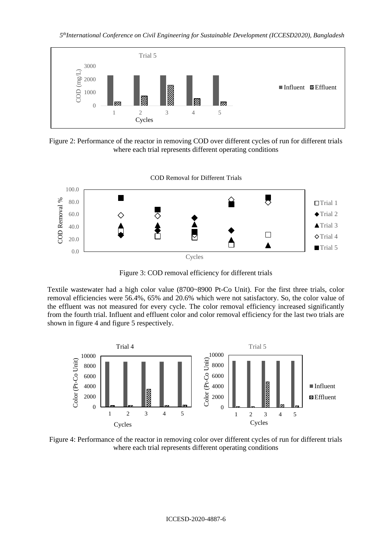*5 thInternational Conference on Civil Engineering for Sustainable Development (ICCESD2020), Bangladesh*



Figure 2: Performance of the reactor in removing COD over different cycles of run for different trials where each trial represents different operating conditions



Figure 3: COD removal efficiency for different trials

Textile wastewater had a high color value (8700~8900 Pt-Co Unit). For the first three trials, color removal efficiencies were 56.4%, 65% and 20.6% which were not satisfactory. So, the color value of the effluent was not measured for every cycle. The color removal efficiency increased significantly from the fourth trial. Influent and effluent color and color removal efficiency for the last two trials are shown in figure 4 and figure 5 respectively.



Figure 4: Performance of the reactor in removing color over different cycles of run for different trials where each trial represents different operating conditions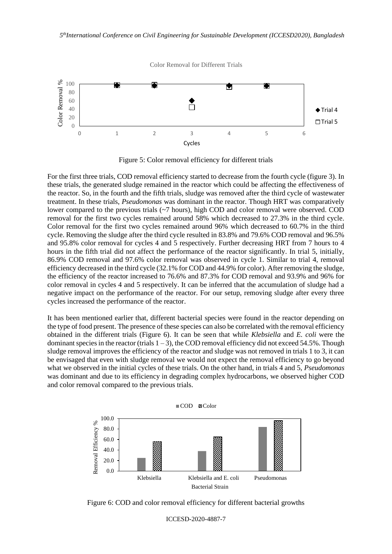

Figure 5: Color removal efficiency for different trials

For the first three trials, COD removal efficiency started to decrease from the fourth cycle (figure 3). In these trials, the generated sludge remained in the reactor which could be affecting the effectiveness of the reactor. So, in the fourth and the fifth trials, sludge was removed after the third cycle of wastewater treatment. In these trials, *Pseudomonas* was dominant in the reactor. Though HRT was comparatively lower compared to the previous trials (~7 hours), high COD and color removal were observed. COD removal for the first two cycles remained around 58% which decreased to 27.3% in the third cycle. Color removal for the first two cycles remained around 96% which decreased to 60.7% in the third cycle. Removing the sludge after the third cycle resulted in 83.8% and 79.6% COD removal and 96.5% and 95.8% color removal for cycles 4 and 5 respectively. Further decreasing HRT from 7 hours to 4 hours in the fifth trial did not affect the performance of the reactor significantly. In trial 5, initially, 86.9% COD removal and 97.6% color removal was observed in cycle 1. Similar to trial 4, removal efficiency decreased in the third cycle (32.1% for COD and 44.9% for color). After removing the sludge, the efficiency of the reactor increased to 76.6% and 87.3% for COD removal and 93.9% and 96% for color removal in cycles 4 and 5 respectively. It can be inferred that the accumulation of sludge had a negative impact on the performance of the reactor. For our setup, removing sludge after every three cycles increased the performance of the reactor.

It has been mentioned earlier that, different bacterial species were found in the reactor depending on the type of food present. The presence of these species can also be correlated with the removal efficiency obtained in the different trials (Figure 6). It can be seen that while *Klebsiella* and *E. coli* were the dominant species in the reactor (trials  $1 - 3$ ), the COD removal efficiency did not exceed 54.5%. Though sludge removal improves the efficiency of the reactor and sludge was not removed in trials 1 to 3, it can be envisaged that even with sludge removal we would not expect the removal efficiency to go beyond what we observed in the initial cycles of these trials. On the other hand, in trials 4 and 5, *Pseudomonas*  was dominant and due to its efficiency in degrading complex hydrocarbons, we observed higher COD and color removal compared to the previous trials.



Figure 6: COD and color removal efficiency for different bacterial growths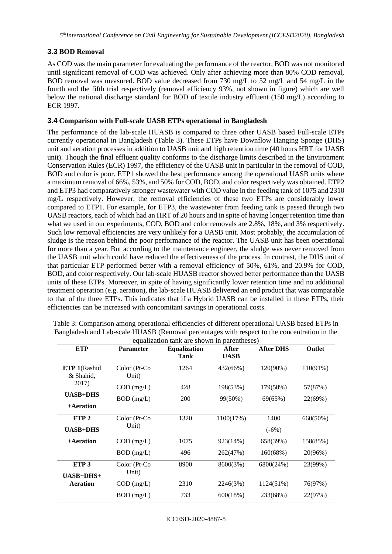## **3.3 BOD Removal**

As COD was the main parameter for evaluating the performance of the reactor, BOD was not monitored until significant removal of COD was achieved. Only after achieving more than 80% COD removal, BOD removal was measured. BOD value decreased from 730 mg/L to 52 mg/L and 54 mg/L in the fourth and the fifth trial respectively (removal efficiency 93%, not shown in figure) which are well below the national discharge standard for BOD of textile industry effluent (150 mg/L) according to ECR 1997.

### **3.4 Comparison with Full-scale UASB ETPs operational in Bangladesh**

The performance of the lab-scale HUASB is compared to three other UASB based Full-scale ETPs currently operational in Bangladesh (Table 3). These ETPs have Downflow Hanging Sponge (DHS) unit and aeration processes in addition to UASB unit and high retention time (40 hours HRT for UASB unit). Though the final effluent quality conforms to the discharge limits described in the Environment Conservation Rules (ECR) 1997, the efficiency of the UASB unit in particular in the removal of COD, BOD and color is poor. ETP1 showed the best performance among the operational UASB units where a maximum removal of 66%, 53%, and 50% for COD, BOD, and color respectively was obtained. ETP2 and ETP3 had comparatively stronger wastewater with COD value in the feeding tank of 1075 and 2310 mg/L respectively. However, the removal efficiencies of these two ETPs are considerably lower compared to ETP1. For example, for ETP3, the wastewater from feeding tank is passed through two UASB reactors, each of which had an HRT of 20 hours and in spite of having longer retention time than what we used in our experiments, COD, BOD and color removals are 2.8%, 18%, and 3% respectively. Such low removal efficiencies are very unlikely for a UASB unit. Most probably, the accumulation of sludge is the reason behind the poor performance of the reactor. The UASB unit has been operational for more than a year. But according to the maintenance engineer, the sludge was never removed from the UASB unit which could have reduced the effectiveness of the process. In contrast, the DHS unit of that particular ETP performed better with a removal efficiency of 50%, 61%, and 20.9% for COD, BOD, and color respectively. Our lab-scale HUASB reactor showed better performance than the UASB units of these ETPs. Moreover, in spite of having significantly lower retention time and no additional treatment operation (e.g. aeration), the lab-scale HUASB delivered an end product that was comparable to that of the three ETPs. This indicates that if a Hybrid UASB can be installed in these ETPs, their efficiencies can be increased with concomitant savings in operational costs.

| <b>ETP</b>       | <b>Parameter</b> | <b>Equalization</b> | After       | <b>After DHS</b> | Outlet   |
|------------------|------------------|---------------------|-------------|------------------|----------|
|                  |                  | Tank                | <b>UASB</b> |                  |          |
| ETP 1(Rashid     | Color (Pt-Co     | 1264                | 432(66%)    | 120(90%)         | 110(91%) |
| & Shahid,        | Unit)            |                     |             |                  |          |
| 2017)            | $COD$ (mg/L)     | 428                 | 198(53%)    | 179(58%)         | 57(87%)  |
| <b>UASB+DHS</b>  | $BOD$ (mg/L)     | 200                 | 99(50%)     | 69(65%)          | 22(69%)  |
| +Aeration        |                  |                     |             |                  |          |
| ETP <sub>2</sub> | Color (Pt-Co     | 1320                | 1100(17%)   | 1400             | 660(50%) |
| <b>UASB+DHS</b>  | Unit)            |                     |             | $(-6%)$          |          |
| +Aeration        | $COD$ (mg/L)     | 1075                | 923(14%)    | 658(39%)         | 158(85%) |
|                  | $BOD$ (mg/L)     | 496                 | 262(47%)    | 160(68%)         | 20(96%)  |
| ETP <sub>3</sub> | Color (Pt-Co     | 8900                | 8600(3%)    | 6800(24%)        | 23(99%)  |
| $UASB+DHS+$      | Unit)            |                     |             |                  |          |
| <b>Aeration</b>  | $COD$ (mg/L)     | 2310                | 2246(3%)    | 1124(51%)        | 76(97%)  |
|                  | $BOD$ (mg/L)     | 733                 | 600(18%)    | 233(68%)         | 22(97%)  |

Table 3: Comparison among operational efficiencies of different operational UASB based ETPs in Bangladesh and Lab-scale HUASB (Removal percentages with respect to the concentration in the equalization tank are shown in parentheses)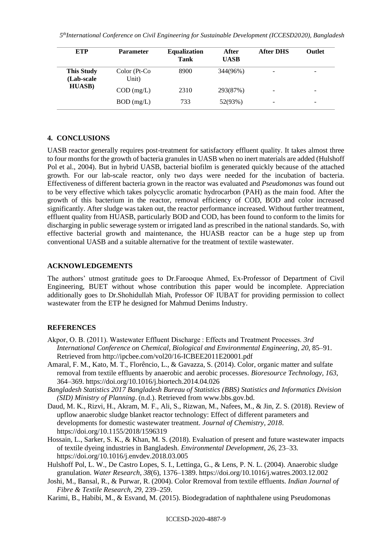| ETP                                                | <b>Parameter</b>      | <b>Equalization</b><br><b>Tank</b> | After<br><b>UASB</b> | <b>After DHS</b> | <b>Outlet</b> |
|----------------------------------------------------|-----------------------|------------------------------------|----------------------|------------------|---------------|
| <b>This Study</b><br>(Lab-scale)<br><b>HUASB</b> ) | Color (Pt-Co<br>Unit) | 8900                               | 344(96%)             |                  | -             |
|                                                    | $COD$ (mg/L)          | 2310                               | 293(87%)             |                  | -             |
|                                                    | $BOD$ (mg/L)          | 733                                | 52(93%)              | -                | -             |

#### **4. CONCLUSIONS**

UASB reactor generally requires post-treatment for satisfactory effluent quality. It takes almost three to four months for the growth of bacteria granules in UASB when no inert materials are added (Hulshoff Pol et al., 2004). But in hybrid UASB, bacterial biofilm is generated quickly because of the attached growth. For our lab-scale reactor, only two days were needed for the incubation of bacteria. Effectiveness of different bacteria grown in the reactor was evaluated and *Pseudomonas* was found out to be very effective which takes polycyclic aromatic hydrocarbon (PAH) as the main food. After the growth of this bacterium in the reactor, removal efficiency of COD, BOD and color increased significantly. After sludge was taken out, the reactor performance increased. Without further treatment, effluent quality from HUASB, particularly BOD and COD, has been found to conform to the limits for discharging in public sewerage system or irrigated land as prescribed in the national standards. So, with effective bacterial growth and maintenance, the HUASB reactor can be a huge step up from conventional UASB and a suitable alternative for the treatment of textile wastewater.

#### **ACKNOWLEDGEMENTS**

The authors' utmost gratitude goes to Dr.Farooque Ahmed, Ex-Professor of Department of Civil Engineering, BUET without whose contribution this paper would be incomplete. Appreciation additionally goes to Dr.Shohidullah Miah, Professor OF IUBAT for providing permission to collect wastewater from the ETP he designed for Mahmud Denims Industry.

### **REFERENCES**

- Akpor, O. B. (2011). Wastewater Effluent Discharge : Effects and Treatment Processes. *3rd International Conference on Chemical, Biological and Environmental Engineering*, *20*, 85–91. Retrieved from http://ipcbee.com/vol20/16-ICBEE2011E20001.pdf
- Amaral, F. M., Kato, M. T., Florêncio, L., & Gavazza, S. (2014). Color, organic matter and sulfate removal from textile effluents by anaerobic and aerobic processes. *Bioresource Technology*, *163*, 364–369. https://doi.org/10.1016/j.biortech.2014.04.026
- *Bangladesh Statistics 2017 Bangladesh Bureau of Statistics (BBS) Statistics and Informatics Division (SID) Ministry of Planning*. (n.d.). Retrieved from www.bbs.gov.bd.
- Daud, M. K., Rizvi, H., Akram, M. F., Ali, S., Rizwan, M., Nafees, M., & Jin, Z. S. (2018). Review of upflow anaerobic sludge blanket reactor technology: Effect of different parameters and developments for domestic wastewater treatment. *Journal of Chemistry*, *2018*. https://doi.org/10.1155/2018/1596319
- Hossain, L., Sarker, S. K., & Khan, M. S. (2018). Evaluation of present and future wastewater impacts of textile dyeing industries in Bangladesh. *Environmental Development*, *26*, 23–33. https://doi.org/10.1016/j.envdev.2018.03.005
- Hulshoff Pol, L. W., De Castro Lopes, S. I., Lettinga, G., & Lens, P. N. L. (2004). Anaerobic sludge granulation. *Water Research*, *38*(6), 1376–1389. https://doi.org/10.1016/j.watres.2003.12.002
- Joshi, M., Bansal, R., & Purwar, R. (2004). Color Rremoval from textile effluents. *Indian Journal of Fibre & Textile Research*, *29*, 239–259.
- Karimi, B., Habibi, M., & Esvand, M. (2015). Biodegradation of naphthalene using Pseudomonas